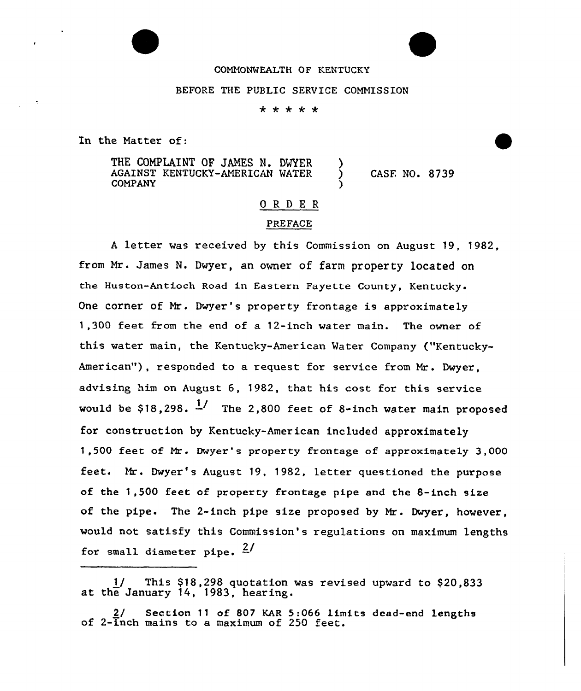## COMMONWEALTH OF KENTUCKY

### BEFORE THE PUBLIC SERVICE COMMISSION

\* \* \* \* \*

In the Matter of:

THE COMPLAINT OF JAMES N. DWYER AGAINST KENTUCKY-AMERICAN MATER COMPANY

) CASE NO. 8739

# ORDER

)

# PREFACE

<sup>A</sup> letter was received by this Commission on August 19, 1982, from Mr. James N. Dwyer, an owner of farm property located on the Huston-Antioch Road in Eastern Fayette County, Kentucky. One corner of Mr. Dwyer's property frontage is approximately 1,300 feet from the end of a 12-inch water main. The owner of this water main, the Kentucky-American Water Company ("Kentucky-American"), responded to a request for service from Mr. Dwyer, advising him on August 6, 1982, that his cost for this service would be \$18,298.  $\frac{1}{1}$  The 2,800 feet of 8-inch water main proposed for construction by Kentucky-American included approximately 1,500 feet of Mr. Dwyer's property frontage of approximately 3,000 feet. Mr. Dwyer's August 19, 1982, letter questioned the purpose of the 1,500 feet of property frontage pipe and the 8-inch size of the pipe. The 2-inch pipe size proposed by Mr. Dwyer, however, would not satisfy this Commission's regulations on maximum lengths for small diameter pipe.  $\frac{2}{3}$ 

This \$18,298 quotation was revised upward to \$20,833 at the January 14, 1983, hear ing.

2/ Section 11 of 807 KAR 5:066 limits dead-end lengths of 2-inch mains to a maximum of 250 feet.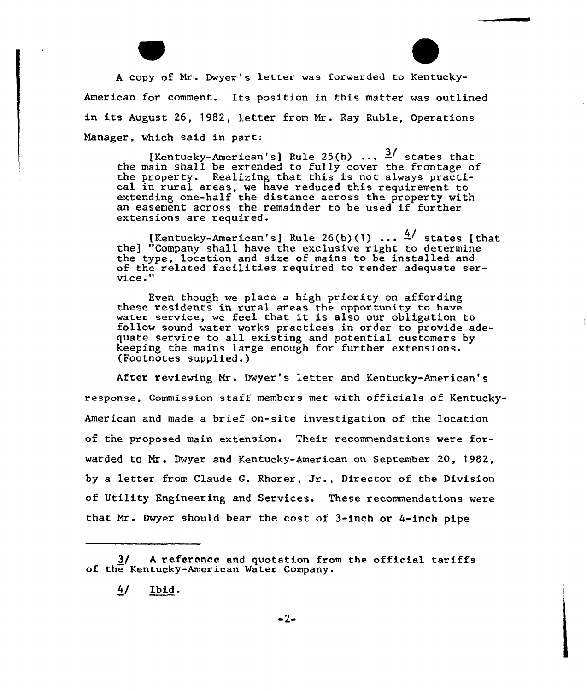



A copy of Mr. Dwyer's letter was forwarded to Kentucky American for comment. Its position in this matter was outlined in its August 26, 1982, letter from Nr. Ray Ruble, Operations Manager, which said in part:

[Kentucky-American's] Rule 25(h)  $\ldots$   $\frac{3}{ }$  states that the main shall be extended to fully cover the frontage. of the property. Realizing that this is not always practi- cal in rural areas, we have reduced this requirement to extending one-half the distance across the property with an easement across the remainder to be used if further extensions are required.

[Kentucky-American's] Rule 26(b)(1) ...  $4/$  states [that the] "Company shall have the exclusive right to determine the type, location and size of mains to be installed and of the related facilities required to render adequate ser-<br>vice."

Even though we place a high priority on affording these residents in rural areas the opportunity to have water service, we feel that it is also our obligation to follow sound water works practices in order to provide adequate service to all existing and potential customers by keeping the mains large enough for further  $(footnotes$ supplied.)

After reviewing Mr. Dwyer's letter and Kentucky-American's response, Commission staff members met with officials of Kentucky-American and made a brief on-site investigation of the location of the proposed main extension. Their recommendations were forwarded to Mr. Dwyer and Kentucky-American on September 20, 1982, by <sup>a</sup> letter from Claude G. Rhorer, Jr., Director of the Division of Utility Engineering and Services. These recommendations were that Hr . Dwyer should bear the cost of 3-inch or 4-inch pipe

<sup>3/</sup> A reference and quotation from the official tariffs of the Kentucky-Amer ican Ma ter Company.

<sup>4/</sup> Ibid.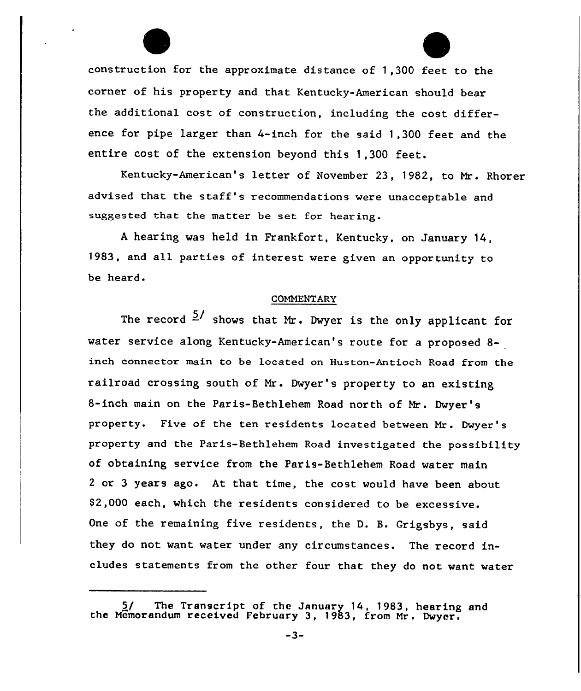construction for the approximate distance of 1,300 feet to the corner of his property and that Kentucky-American should bear the additional cost of construction, including the cost difference for pipe larger than 4-inch for the said 1,300 feet and the entire cost of the extension beyond this 1,300 feet.

Kentucky-American's letter of November 23, 1982, to Mr. Rhorer advised that the staff's recommendations were unacceptable and suggested that the matter be set for hearing.

<sup>A</sup> hearing was held in Frankfort, Kentucky, on January 14, 1983, and all parties of interest were given an opportunity to be heard.

#### C0MMENTARV

The record  $\frac{5}{4}$  shows that Mr. Dwyer is the only applicant for water service along Kentucky-American's route for a proposed 8 inch connector main to be located on Huston-Antioch Road from the railroad crossing south of Mr. Dwyer's property to <mark>an exis</mark>ting 8-inch main on the Paris-Bethlehem Road north of Mr. Dwyer's property. Five of the ten residents located between Mr. Dwyer ' property and the Paris-Bethlehem Road investigated the possibility of obtaining service from the Paris-Bethlehem Road water main 2 or 3 years ago. At that time, the cost would have been about \$ 2,000 each, which the residents considered to be excessive. One of the remaining five residents, the D. B. Grigsbys, said they do not want water under any circumstances. The record includes statements from the other four that they do not want water

 $-3-$ 

<sup>5/</sup> The Transcript of the January 14, 1983, hearing and the Memorandum received February 3, 1983, from Mr. Dwyer.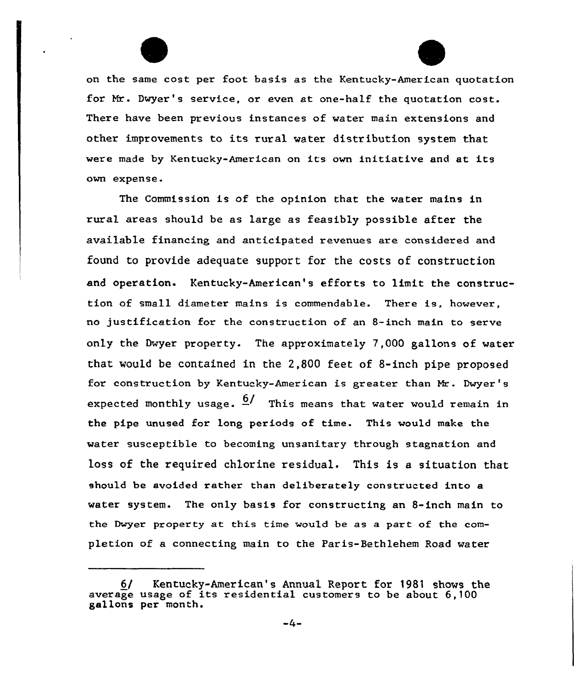on the same cost per foot basis as the Kentucky-American quotation for Nr. Dwyer's service, or even at one-halE the quotation cost. There have been previous instances of water main extensions and other improvements to its rural water distribution system that were made by Kentucky-American on its own initiative and at its own expense.

The Commission is of the opinion that the water mains in rural areas should be as large as feasibly possible after the available financing and anticipated revenues are considered and found to provide adequate support for the costs of construction and operation. Kentucky-American's efforts to limit the construction of small diameter mains is commendable. There is, however, no justification for the construction of an 8-inch main to serve only the Dwyer property. The approximately  $7,000$  gallons of water that would be contained in the 2,800 feet of 8-inch pipe proposed for construction by Kentucky-American is greater than Nr. Dwyer's expected monthly usage.  $\frac{6}{ }$  This means that water would remain in the pipe unused for long periods of time. This would make the water susceptible to becoming unsanitary through stagnation and loss of the required chlorine residual. This is a situation that should be avoided rather than deliberately constructed into a water system. The only basis for constructing an 8-inch main to the Dwyer property at this time would be as a part of the completion of a connecting main to the Paris-Bethlehem Road water

<sup>6(</sup> Kentucky-American's Annual Report for 1981 shows the average usage of its residential customers to be about 6,100 gallons per month.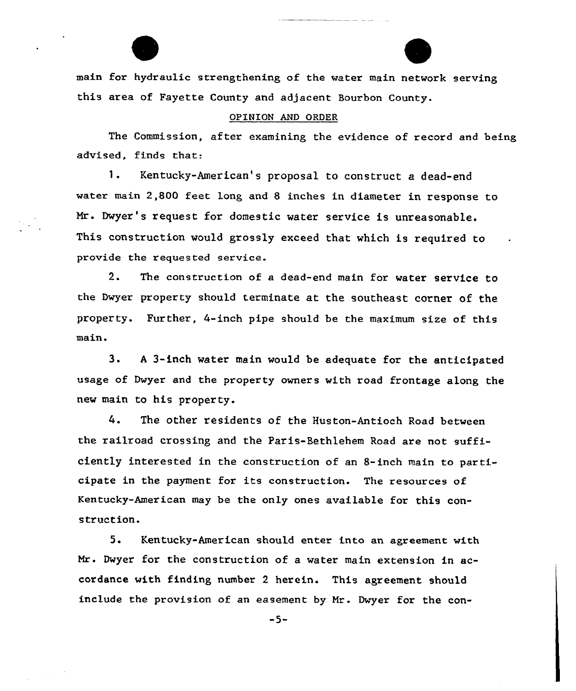main for hydraulic strengthening of the water main network serving this area of Fayette County and adjacent Bourbon County.

## OPINION AND ORDER

The Commission, after examining the evidence of record and being advised, finds that:

Kentucky-American's proposal to construct a dead-end 1. water main 2,800 feet long and 8 inches in diameter in response to Mr. Dwyer's request for domestic water service is unreasonable. This construction would grossly exceed that which is required to provide the requested service.

2. The construction of <sup>a</sup> dead-end main for water service to the Dwyer property should terminate at the southeast corner of the property. Further, 4-inch pipe should be the maximum size of this main.

3. <sup>A</sup> 3-inch water main would be adequate for the anticipated usage of Dwyer and the property owners with road frontage along the new main to his property.

The other residents of the Huston-Antioch Road between 4. the railroad crossing and the Paris-Bethlehem Road are not sufficiently interested in the construction of an 8-inch main to participate in the payment for its construction. The resources of Kentucky-American may be the only ones available for this construction.

5. Kentucky-American should enter into an agreement with Mr. Dwyer for the construction of a water main extension in accordance with finding number 2 herein. This agreement should include the provision of an easement by Mr. Dwyer for the con-

 $-5-$